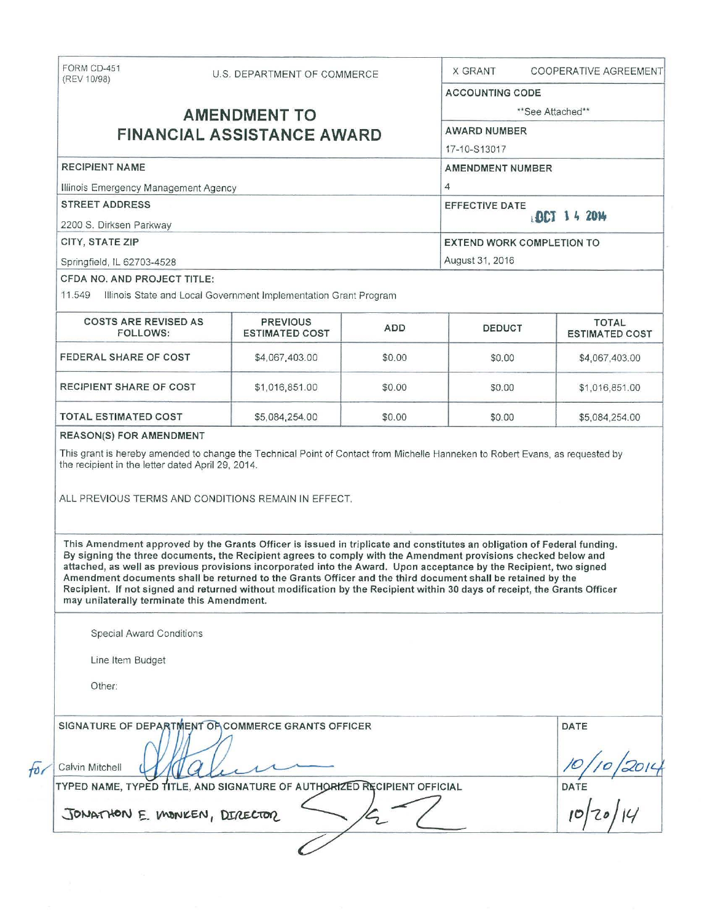| FORM CD-451<br>(REV 10/98)                 |  | U.S. DEPARTMENT OF COMMERCE                                                                                                                                                                                                                                                                                                                                                                                                                                                                                                                                                                                 |                        | <b>X GRANT</b>                   |  | <b>COOPERATIVE AGREEMENT</b>          |
|--------------------------------------------|--|-------------------------------------------------------------------------------------------------------------------------------------------------------------------------------------------------------------------------------------------------------------------------------------------------------------------------------------------------------------------------------------------------------------------------------------------------------------------------------------------------------------------------------------------------------------------------------------------------------------|------------------------|----------------------------------|--|---------------------------------------|
|                                            |  |                                                                                                                                                                                                                                                                                                                                                                                                                                                                                                                                                                                                             | <b>ACCOUNTING CODE</b> |                                  |  |                                       |
| <b>AMENDMENT TO</b>                        |  |                                                                                                                                                                                                                                                                                                                                                                                                                                                                                                                                                                                                             | **See Attached**       |                                  |  |                                       |
| <b>FINANCIAL ASSISTANCE AWARD</b>          |  |                                                                                                                                                                                                                                                                                                                                                                                                                                                                                                                                                                                                             |                        | <b>AWARD NUMBER</b>              |  |                                       |
|                                            |  |                                                                                                                                                                                                                                                                                                                                                                                                                                                                                                                                                                                                             |                        | 17-10-S13017                     |  |                                       |
| <b>RECIPIENT NAME</b>                      |  |                                                                                                                                                                                                                                                                                                                                                                                                                                                                                                                                                                                                             |                        | <b>AMENDMENT NUMBER</b>          |  |                                       |
| Illinois Emergency Management Agency       |  |                                                                                                                                                                                                                                                                                                                                                                                                                                                                                                                                                                                                             |                        | $\overline{4}$                   |  |                                       |
| <b>STREET ADDRESS</b>                      |  |                                                                                                                                                                                                                                                                                                                                                                                                                                                                                                                                                                                                             |                        | <b>EFFECTIVE DATE</b>            |  |                                       |
| 2200 S. Dirksen Parkway                    |  |                                                                                                                                                                                                                                                                                                                                                                                                                                                                                                                                                                                                             |                        | DCT 14 2014                      |  |                                       |
| CITY, STATE ZIP                            |  |                                                                                                                                                                                                                                                                                                                                                                                                                                                                                                                                                                                                             |                        | <b>EXTEND WORK COMPLETION TO</b> |  |                                       |
| Springfield, IL 62703-4528                 |  |                                                                                                                                                                                                                                                                                                                                                                                                                                                                                                                                                                                                             |                        | August 31, 2016                  |  |                                       |
| <b>CFDA NO. AND PROJECT TITLE:</b>         |  |                                                                                                                                                                                                                                                                                                                                                                                                                                                                                                                                                                                                             |                        |                                  |  |                                       |
|                                            |  | 11.549 Illinois State and Local Government Implementation Grant Program                                                                                                                                                                                                                                                                                                                                                                                                                                                                                                                                     |                        |                                  |  |                                       |
| <b>COSTS ARE REVISED AS</b><br>FOLLOWS:    |  | <b>PREVIOUS</b><br><b>ESTIMATED COST</b>                                                                                                                                                                                                                                                                                                                                                                                                                                                                                                                                                                    | <b>ADD</b>             | <b>DEDUCT</b>                    |  | <b>TOTAL</b><br><b>ESTIMATED COST</b> |
| FEDERAL SHARE OF COST                      |  | \$4,067,403.00                                                                                                                                                                                                                                                                                                                                                                                                                                                                                                                                                                                              | \$0.00                 | \$0.00                           |  | \$4,067,403.00                        |
| <b>RECIPIENT SHARE OF COST</b>             |  | \$1,016,851.00                                                                                                                                                                                                                                                                                                                                                                                                                                                                                                                                                                                              | \$0.00                 | \$0.00                           |  | \$1,016,851.00                        |
| <b>TOTAL ESTIMATED COST</b>                |  | \$5,084,254.00                                                                                                                                                                                                                                                                                                                                                                                                                                                                                                                                                                                              | \$0.00                 | \$0.00                           |  | \$5,084,254.00                        |
|                                            |  | This Amendment approved by the Grants Officer is issued in triplicate and constitutes an obligation of Federal funding.<br>By signing the three documents, the Recipient agrees to comply with the Amendment provisions checked below and<br>attached, as well as previous provisions incorporated into the Award. Upon acceptance by the Recipient, two signed<br>Amendment documents shall be returned to the Grants Officer and the third document shall be retained by the<br>Recipient. If not signed and returned without modification by the Recipient within 30 days of receipt, the Grants Officer |                        |                                  |  |                                       |
| may unilaterally terminate this Amendment. |  |                                                                                                                                                                                                                                                                                                                                                                                                                                                                                                                                                                                                             |                        |                                  |  |                                       |
| <b>Special Award Conditions</b>            |  |                                                                                                                                                                                                                                                                                                                                                                                                                                                                                                                                                                                                             |                        |                                  |  |                                       |
| Line Item Budget                           |  |                                                                                                                                                                                                                                                                                                                                                                                                                                                                                                                                                                                                             |                        |                                  |  |                                       |
| Other:                                     |  |                                                                                                                                                                                                                                                                                                                                                                                                                                                                                                                                                                                                             |                        |                                  |  |                                       |
|                                            |  | SIGNATURE OF DEPARTMENT OF COMMERCE GRANTS OFFICER                                                                                                                                                                                                                                                                                                                                                                                                                                                                                                                                                          |                        |                                  |  | DATE                                  |
| Calvin Mitchell                            |  |                                                                                                                                                                                                                                                                                                                                                                                                                                                                                                                                                                                                             |                        |                                  |  |                                       |
|                                            |  | TYPED NAME, TYPED TITLE, AND SIGNATURE OF AUTHORIZED RECIPIENT OFFICIAL                                                                                                                                                                                                                                                                                                                                                                                                                                                                                                                                     |                        |                                  |  | $\frac{1}{1}$<br>DATE                 |
| JONATHON E. MONKEN, DIRECTOR               |  |                                                                                                                                                                                                                                                                                                                                                                                                                                                                                                                                                                                                             |                        |                                  |  |                                       |
|                                            |  |                                                                                                                                                                                                                                                                                                                                                                                                                                                                                                                                                                                                             |                        |                                  |  |                                       |